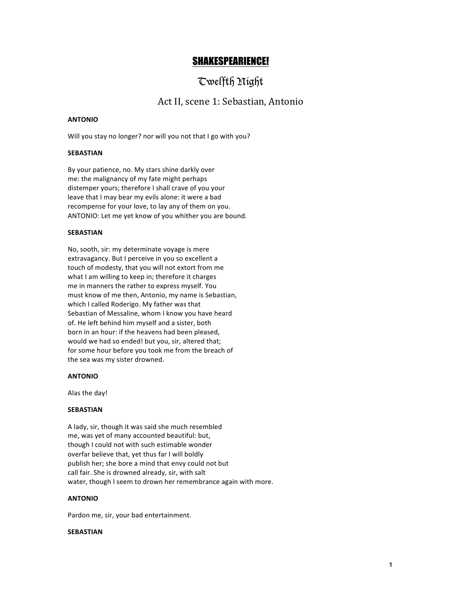# SHAKESPEARIENCE!

# Twelfth Night

## Act II, scene 1: Sebastian, Antonio

#### **ANTONIO**

Will you stay no longer? nor will you not that I go with you?

#### **SEBASTIAN**

By your patience, no. My stars shine darkly over me: the malignancy of my fate might perhaps distemper yours; therefore I shall crave of you your leave that I may bear my evils alone: it were a bad recompense for your love, to lay any of them on you. ANTONIO: Let me yet know of you whither you are bound.

#### **SEBASTIAN**

No, sooth, sir: my determinate voyage is mere extravagancy. But I perceive in you so excellent a touch of modesty, that you will not extort from me what I am willing to keep in; therefore it charges me in manners the rather to express myself. You must know of me then, Antonio, my name is Sebastian, which I called Roderigo. My father was that Sebastian of Messaline, whom I know you have heard of. He left behind him myself and a sister, both born in an hour: if the heavens had been pleased, would we had so ended! but you, sir, altered that; for some hour before you took me from the breach of the sea was my sister drowned.

#### **ANTONIO**

Alas the day!

#### **SEBASTIAN**

A lady, sir, though it was said she much resembled me, was yet of many accounted beautiful: but, though I could not with such estimable wonder overfar believe that, yet thus far I will boldly publish her; she bore a mind that envy could not but call fair. She is drowned already, sir, with salt water, though I seem to drown her remembrance again with more.

### **ANTONIO**

Pardon me, sir, your bad entertainment.

#### **SEBASTIAN**